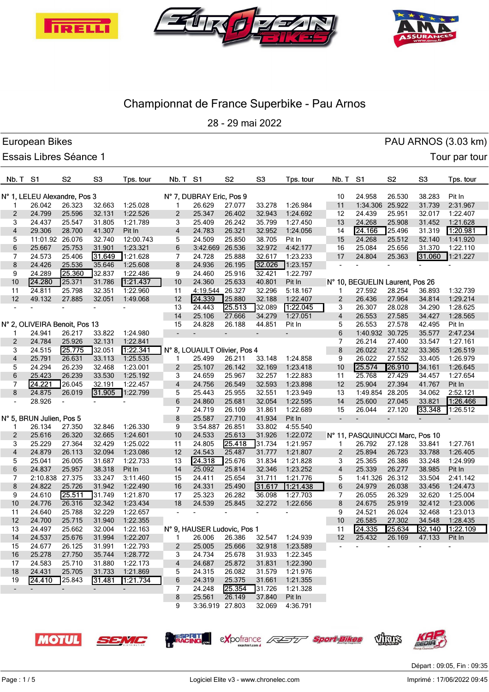





28 - 29 mai 2022

|                 | European Bikes                |                          |                |           |                          |                              |                          |                          |           |                         |                                 |                |                | PAU ARNOS (3.03 km) |
|-----------------|-------------------------------|--------------------------|----------------|-----------|--------------------------|------------------------------|--------------------------|--------------------------|-----------|-------------------------|---------------------------------|----------------|----------------|---------------------|
|                 | Essais Libres Séance 1        |                          |                |           |                          |                              |                          |                          |           |                         |                                 |                |                | Tour par tour       |
| <b>Nb. T S1</b> |                               | S <sub>2</sub>           | S <sub>3</sub> | Tps. tour | Nb. T                    | S1                           | S <sub>2</sub>           | S <sub>3</sub>           | Tps. tour | Nb. T                   | S <sub>1</sub>                  | S <sub>2</sub> | S <sub>3</sub> | Tps. tour           |
|                 | N° 1, LELEU Alexandre, Pos 3  |                          |                |           |                          | N° 7, DUBRAY Eric, Pos 9     |                          |                          |           | 10                      | 24.958                          | 26.530         | 38.283         | Pit In              |
| 1               | 26.042                        | 26.323                   | 32.663         | 1:25.028  | 1                        | 26.629                       | 27.077                   | 33.278                   | 1:26.984  | 11                      | 1:34.306 25.922                 |                | 31.739         | 2:31.967            |
| 2               | 24.799                        | 25.596                   | 32.131         | 1:22.526  | 2                        | 25.347                       | 26.402                   | 32.943                   | 1:24.692  | 12                      | 24.439                          | 25.951         | 32.017         | 1:22.407            |
| 3               | 24.437                        | 25.547                   | 31.805         | 1:21.789  | 3                        | 25.409                       | 26.242                   | 35.799                   | 1:27.450  | 13                      | 24.268                          | 25.908         | 31.452         | 1:21.628            |
| 4               | 29.306                        | 28.700                   | 41.307         | Pit In    | 4                        | 24.783                       | 26.321                   | 32.952                   | 1:24.056  | 14                      | 24.166                          | 25.496         | 31.319         | 1:20.981            |
| 5               | 11:01.92 26.076               |                          | 32.740         | 12:00.743 | 5                        | 24.509                       | 25.850                   | 38.705                   | Pit In    | 15                      | 24.268                          | 25.512         | 52.140         | 1:41.920            |
| 6               | 25.667                        | 25.753                   | 31.901         | 1:23.321  | 6                        | 3:42.669                     | 26.536                   | 32.972                   | 4:42.177  | 16                      | 25.084                          | 25.656         | 31.370         | 1:22.110            |
| 7               | 24.573                        | 25.406                   | 31.649         | 1:21.628  | 7                        | 24.728                       | 25.888                   | 32.617                   | 1:23.233  | 17                      | 24.804                          | 25.363         | 31.060         | 1:21.227            |
| 8               | 24.426                        | 25.536                   | 35.646         | 1:25.608  | 8                        | 24.936                       | 26.195                   | 32.026                   | 1:23.157  |                         |                                 |                |                |                     |
| 9               | 24.289                        | 25.360                   | 32.837         | 1:22.486  | 9                        | 24.460                       | 25.916                   | 32.421                   | 1:22.797  |                         |                                 |                |                |                     |
| 10              | 24.280                        | 25.371                   | 31.786         | 1:21.437  | 10                       | 24.360                       | 25.633                   | 40.801                   | Pit In    |                         | N° 10, BEGUELIN Laurent, Pos 26 |                |                |                     |
| 11              | 24.811                        | 25.798                   | 32.351         | 1:22.960  | 11                       | 4:19.544                     | 26.327                   | 32.296                   | 5:18.167  | 1                       | 27.592                          | 28.254         | 36.893         | 1:32.739            |
| 12              | 49.132                        | 27.885                   | 32.051         | 1:49.068  | 12                       | 24.339                       | 25.880                   | 32.188                   | 1:22.407  | $\overline{\mathbf{c}}$ | 26.436                          | 27.964         | 34.814         | 1:29.214            |
|                 |                               | ٠                        |                |           | 13                       | 24.443                       | 25.513                   | 32.089                   | 1:22.045  | 3                       | 26.307                          | 28.028         | 34.290         | 1:28.625            |
|                 |                               |                          |                |           | 14                       | 25.106                       | 27.666                   | 34.279                   | 1:27.051  | 4                       | 26.553                          | 27.585         | 34.427         | 1:28.565            |
|                 | N° 2, OLIVEIRA Benoit, Pos 13 |                          |                |           | 15                       | 24.828                       | 26.188                   | 44.851                   | Pit In    | 5                       | 26.553                          | 27.578         | 42.495         | Pit In              |
| 1               | 24.941                        | 26.217                   | 33.822         | 1:24.980  | $\overline{\phantom{a}}$ |                              | $\overline{\phantom{0}}$ | $\overline{\phantom{a}}$ |           | 6                       | 1:40.932 30.725                 |                | 35.577         | 2:47.234            |
| 2               | 24.784                        | 25.926                   | 32.131         | 1:22.841  |                          |                              |                          |                          |           | 7                       | 26.214                          | 27.400         | 33.547         | 1:27.161            |
| 3               | 24.515                        | 25.775                   | 32.051         | 1.22.341  |                          | N° 8, LOUAULT Olivier, Pos 4 |                          |                          |           | 8                       | 26.022                          | 27.132         | 33.365         | 1:26.519            |
| 4               | 25.791                        | 26.631                   | 33.113         | 1:25.535  | 1                        | 25.499                       | 26.211                   | 33.148                   | 1:24.858  | 9                       | 26.022                          | 27.552         | 33.405         | 1:26.979            |
| 5               | 24.294                        | 26.239                   | 32.468         | 1:23.001  | 2                        | 25.107                       | 26.142                   | 32.169                   | 1:23.418  | 10                      | 25.574                          | 26.910         | 34.161         | 1:26.645            |
| 6               | 25.423                        | 26.239                   | 33.530         | 1:25.192  | 3                        | 24.659                       | 25.967                   | 32.257                   | 1:22.883  | 11                      | 25.768                          | 27.429         | 34.457         | 1:27.654            |
| 7               | 24.221                        | 26.045                   | 32.191         | 1:22.457  | 4                        | 24.756                       | 26.549                   | 32.593                   | 1:23.898  | 12                      | 25.904                          | 27.394         | 41.767         | Pit In              |
| 8               | 24.875                        | 26.019                   | 31.905         | 1:22.799  | 5                        | 25.443                       | 25.955                   | 32.551                   | 1:23.949  | 13                      | 1:49.854 28.205                 |                | 34.062         | 2:52.121            |
|                 | 28.926                        | $\overline{\phantom{m}}$ |                |           | 6                        | 24.860                       | 25.681                   | 32.054                   | 1:22.595  | 14                      | 25.600                          | 27.045         | 33.821         | 1.26.466            |
|                 |                               |                          |                |           | 7                        | 24.719                       | 26.109                   | 31.861                   | 1:22.689  | 15                      | 26.044                          | 27.120         | 33.348         | 1:26.512            |
|                 | N° 5, BRUN Julien, Pos 5      |                          |                |           | 8                        | 25.587                       | 27.710                   | 41.934                   | Pit In    | $\overline{a}$          | $\overline{a}$                  |                |                |                     |
| 1               | 26.134                        | 27.350                   | 32.846         | 1:26.330  | 9                        | 3:54.887                     | 26.851                   | 33.802                   | 4:55.540  |                         |                                 |                |                |                     |
| 2               | 25.616                        | 26.320                   | 32.665         | 1:24.601  | 10                       | 24.533                       | 25.613                   | 31.926                   | 1:22.072  |                         | N° 11, PASQUINUCCI Marc, Pos 10 |                |                |                     |
| 3               | 25.229                        | 27.364                   | 32.429         | 1:25.022  | 11                       | 24.805                       | 25.418                   | 31.734                   | 1:21.957  | 1                       | 26.792                          | 27.128         | 33.841         | 1:27.761            |
| 4               | 24.879                        | 26.113                   | 32.094         | 1:23.086  | 12                       | 24.543                       | 25.487                   | 31.777                   | 1:21.807  | 2                       | 25.894                          | 26.723         | 33.788         | 1:26.405            |
| 5               | 25.041                        | 26.005                   | 31.687         | 1:22.733  | 13                       | 24.318                       | 25.676                   | 31.834                   | 1:21.828  | 3                       | 25.365                          | 26.386         | 33.248         | 1:24.999            |
| 6               | 24.837                        | 25.957                   | 38.318         | Pit In    | 14                       | 25.092                       | 25.814                   | 32.346                   | 1:23.252  | 4                       | 25.339                          | 26.277         | 38.985         | Pit In              |
| 7               | 2:10.838 27.375               |                          | 33.247         | 3:11.460  | 15                       | 24.411                       | 25.654                   | 31.711                   | 1:21.776  | 5                       | 1:41.326 26.312                 |                | 33.504         | 2:41.142            |
| 8               | 24.822                        | 25.726                   | 31.942         | 1:22.490  | 16                       | 24.331                       | 25.490                   | 31.617                   | 1:21.438  | 6                       | 24.979                          | 26.038         | 33.456         | 1:24.473            |
| 9               | 24.610                        | 25.511                   | 31.749         | 1:21.870  | 17                       | 25.323                       | 26.282                   | 36.098                   | 1:27.703  | 7                       | 26.055                          | 26.329         | 32.620         | 1:25.004            |
| 10              | 24.776                        | 26.316                   | 32.342         | 1:23.434  | 18                       | 24.539                       | 25.845                   | 32.272                   | 1:22.656  | 8                       | 24.675                          | 25.919         | 32.412         | 1:23.006            |
| 11              | 24.640                        | 25.788                   | 32.229         | 1:22.657  |                          |                              |                          |                          |           | 9                       | 24.521                          | 26.024         | 32.468         | 1:23.013            |
| 12              | 24.700                        | 25.715                   | 31.940         | 1:22.355  |                          |                              |                          |                          |           | 10                      | 26.585                          | 27.302         | 34.548         | 1:28.435            |
| 13              | 24.497                        | 25.662                   | 32.004         | 1:22.163  |                          | N° 9, HAUSER Ludovic, Pos 1  |                          |                          |           | 11                      | 24.335                          | 25.634         | 32.140         | 1:22.109            |
| 14              | 24.537                        | 25.676                   | 31.994         | 1:22.207  | 1                        | 26.006                       | 26.386                   | 32.547                   | 1:24.939  | 12                      | 25.432                          | 26.169         | 47.133         | Pit In              |
| 15              | 24.677                        | 26.125                   | 31.991         | 1:22.793  | $\mathbf{2}$             | 25.005                       | 25.666                   | 32.918                   | 1:23.589  | $\blacksquare$          |                                 | $\blacksquare$ |                |                     |
| 16              | 25.278                        | 27.750                   | 35.744         | 1:28.772  | 3                        | 24.734                       | 25.678                   | 31.933                   | 1:22.345  |                         |                                 |                |                |                     |
| 17              | 24.583                        | 25.710                   | 31.880         | 1:22.173  | 4                        | 24.687                       | 25.872                   | 31.831                   | 1:22.390  |                         |                                 |                |                |                     |
| 18              | 24.431                        | 25.705                   | 31.733         | 1:21.869  | 5                        | 24.315                       | 26.082                   | 31.579                   | 1:21.976  |                         |                                 |                |                |                     |
| 19              | 24.410                        | 25.843                   | 31.481         | 1:21.734  | 6                        | 24.319                       | 25.375                   | 31.661                   | 1:21.355  |                         |                                 |                |                |                     |
| $\sim$          | $\blacksquare$                | $\overline{\phantom{a}}$ | $\sim$         | $\sim$    | 7                        | 24.248                       | 25.354                   | 31.726                   | 1:21.328  |                         |                                 |                |                |                     |
|                 |                               |                          |                |           | 8                        | 25.561                       | 26.149                   | 37.840                   | Pit In    |                         |                                 |                |                |                     |
|                 |                               |                          |                |           | 9                        | 3:36.919 27.803              |                          | 32.069                   | 4:36.791  |                         |                                 |                |                |                     |











Départ : 09:05, Fin : 09:35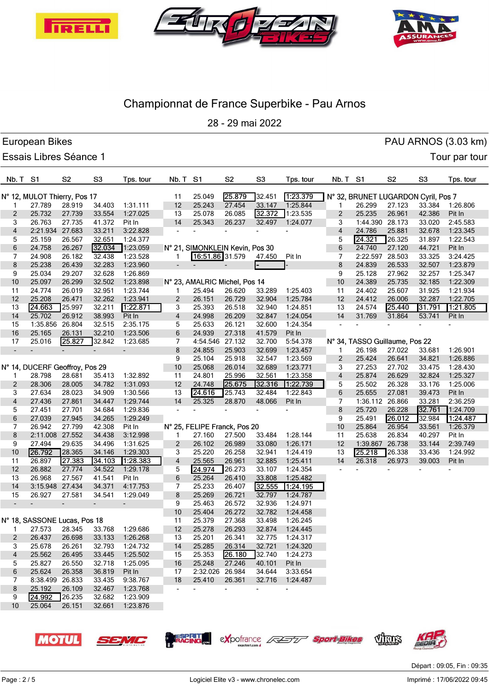





28 - 29 mai 2022

|                | European Bikes                 |                |                  |                    |                          |                                 |                  |                  |                      |                 |                                     |                |                | PAU ARNOS (3.03 km) |
|----------------|--------------------------------|----------------|------------------|--------------------|--------------------------|---------------------------------|------------------|------------------|----------------------|-----------------|-------------------------------------|----------------|----------------|---------------------|
|                | <b>Essais Libres Séance 1</b>  |                |                  |                    |                          |                                 |                  |                  |                      |                 |                                     |                |                | Tour par tour       |
| Nb. T S1       |                                | S <sub>2</sub> | S <sub>3</sub>   | Tps. tour          | Nb. T S1                 |                                 | S <sub>2</sub>   | S <sub>3</sub>   | Tps. tour            | <b>Nb. T S1</b> |                                     | S <sub>2</sub> | S <sub>3</sub> | Tps. tour           |
|                | N° 12, MULOT Thierry, Pos 17   |                |                  |                    | 11                       | 25.049                          | 25.879           | 32.451           | 1:23.379             |                 | N° 32, BRUNET LUGARDON Cyril, Pos 7 |                |                |                     |
| 1              | 27.789                         | 28.919         | 34.403           | 1:31.111           | 12                       | 25.243                          | 27.454           | 33.147           | 1:25.844             | 1               | 26.299                              | 27.123         | 33.384         | 1:26.806            |
| 2              | 25.732                         | 27.739         | 33.554           | 1:27.025           | 13                       | 25.078                          | 26.085           | 32.372           | 1:23.535             | 2               | 25.235                              | 26.961         | 42.386         | Pit In              |
| 3              | 26.763                         | 27.735         | 41.372           | Pit In             | 14                       | 25.343                          | 26.237           | 32.497           | 1:24.077             | 3               | 1:44.390 28.173                     |                | 33.020         | 2:45.583            |
| 4              | 2:21.934 27.683                |                | 33.211           | 3:22.828           |                          |                                 |                  |                  |                      | 4               | 24.786                              | 25.881         | 32.678         | 1:23.345            |
| 5              | 25.159                         | 26.567         | 32.651           | 1:24.377           |                          |                                 |                  |                  |                      | 5               | 24.321                              | 26.325         | 31.897         | 1:22.543            |
| 6              | 24.758                         | 26.267         | 32.034           | 1:23.059           |                          | N° 21, SIMONKLEIN Kevin, Pos 30 |                  |                  |                      | 6               | 24.740                              | 27.120         | 44.721         | Pit In              |
| 7              | 24.908                         | 26.182         | 32.438           | 1:23.528           |                          | 16:51.86 31.579                 |                  | 47.450           | Pit In               | 7               | 2:22.597                            | 28.503         | 33.325         | 3:24.425            |
| 8              | 25.238                         | 26.439         | 32.283           | 1:23.960           | $\overline{\phantom{a}}$ |                                 |                  |                  |                      | 8               | 24.839                              | 26.533         | 32.507         | 1:23.879            |
| 9              | 25.034                         | 29.207         | 32.628           | 1:26.869           |                          |                                 |                  |                  |                      | 9               | 25.128                              | 27.962         | 32.257         | 1:25.347            |
| 10             | 25.097                         | 26.299         | 32.502           | 1:23.898           |                          | N° 23, AMALRIC Michel, Pos 14   |                  |                  |                      | 10              | 24.389                              | 25.735         | 32.185         | 1:22.309            |
| 11             | 24.774                         | 26.019         | 32.951           | 1:23.744           | 1                        | 25.494                          | 26.620           | 33.289           | 1:25.403             | 11              | 24.402                              | 25.607         | 31.925         | 1:21.934            |
| 12             | 25.208                         | 26.471         | 32.262           | 1:23.941           | 2                        | 26.151                          | 26.729           | 32.904           | 1:25.784             | 12              | 24.412                              | 26.006         | 32.287         | 1:22.705            |
| 13             | 24.663                         | 25.997         | 32.211           | 1:22.871           | 3                        | 25.393                          | 26.518           | 32.940           | 1:24.851             | 13              | 24.574                              | 25.440         | 31.791         | 1:21.805            |
| 14             | 25.702                         | 26.912         | 38.993           | Pit In             | 4                        | 24.998                          | 26.209           | 32.847           | 1:24.054             | 14              | 31.769                              | 31.864         | 53.741         | Pit In              |
| 15             | 1:35.856 26.804                |                | 32.515           | 2:35.175           | 5                        | 25.633                          | 26.121           | 32.600           | 1:24.354             |                 |                                     |                |                |                     |
| 16             | 25.165                         | 26.131         | 32.210           | 1:23.506           | 6                        | 24.939                          | 27.318           | 41.579           | Pit In               |                 |                                     |                |                |                     |
| 17             | 25.016                         | 25.827         | 32.842           | 1:23.685           | 7                        | 4:54.546 27.132                 |                  | 32.700           | 5:54.378             |                 | N° 34, TASSO Guillaume, Pos 22      |                |                |                     |
| $\blacksquare$ | $\overline{\phantom{0}}$       |                |                  |                    | 8                        | 24.855                          | 25.903           | 32.699           | 1:23.457             | 1               | 26.198                              | 27.022         | 33.681         | 1:26.901            |
|                |                                |                |                  |                    | 9                        | 25.104                          | 25.918           | 32.547           | 1:23.569             | $\overline{2}$  | 25.424                              | 26.641         | 34.821         | 1:26.886            |
|                | N° 14, DUCERF Geoffroy, Pos 29 |                |                  |                    | 10                       | 25.068                          | 26.014           | 32.689           | 1:23.771             | 3               | 27.253                              | 27.702         | 33.475         | 1:28.430            |
|                | 28.798                         | 28.681         | 35.413           | 1:32.892           | 11                       | 24.801                          | 25.996           | 32.561           | 1:23.358             | 4               | 25.874                              | 26.629         | 32.824         | 1:25.327            |
| 2              | 28.306                         | 28.005         | 34.782           | 1:31.093           | 12                       | 24.748                          | 25.675           | 32.316           | 1:22.739             | 5               | 25.502                              | 26.328         | 33.176         | 1:25.006            |
| 3              | 27.634                         | 28.023         | 34.909           | 1:30.566           | 13                       | 24.616                          | 25.743           | 32.484           | 1:22.843             | 6               | 25.655                              | 27.081         | 39.473         | Pit In              |
| 4              | 27.436                         | 27.861         | 34.447           | 1:29.744           | 14                       | 25.325                          | 28.870           | 48.066           | Pit In               | 7               | 1:36.112 26.866                     |                | 33.281         | 2:36.259            |
| 5              | 27.451                         | 27.701         | 34.684           | 1:29.836           |                          |                                 |                  |                  |                      | 8               | 25.720                              | 26.228         | 32.761         | 1:24.709            |
| 6              | 27.039                         | 27.945         | 34.265           | 1:29.249           |                          |                                 |                  |                  |                      | 9               | 25.491                              | 26.012         | 32.984         | 1 24 487            |
| 7              | 26.942                         | 27.799         | 42.308           | Pit In             |                          | N° 25, FELIPE Franck, Pos 20    |                  |                  |                      | 10              | 25.864                              | 26.954         | 33.561         | 1:26.379            |
| 8              | 2:11.008 27.552                |                | 34.438           | 3:12.998           | 1                        | 27.160                          | 27.500           | 33.484           | 1:28.144             | 11              | 25.638                              | 26.834         | 40.297         | Pit In              |
| 9              | 27.494                         | 29.635         | 34.496           | 1:31.625           | 2                        | 26.102                          | 26.989           | 33.080           | 1:26.171             | 12              | 1:39.867                            | 26.738         | 33.144         | 2:39.749            |
| 10             | 26.792                         | 28.365         | 34.146           | 1:29.303           | 3                        | 25.220                          | 26.258           | 32.941           | 1:24.419             | 13              | 25.218                              | 26.338         | 33.436         | 1:24.992            |
| 11             | 26.897                         | 27.383         | 34.103           | 1:28.383           | 4                        | 25.565                          | 26.961           | 32.885           | 1:25.411             | 14              | 26.318                              | 26.973         | 39.003         | Pit In              |
| 12             | 26.882<br>26.968               | 27.774         | 34.522           | 1:29.178           | 5                        | 24.974                          | 26.273           | 33.107           | 1:24.354<br>1:25.482 |                 |                                     |                |                |                     |
| 13<br>14       | 3:15.948 27.434                | 27.567         | 41.541<br>34.371 | Pit In<br>4:17.753 | 6<br>7                   | 25.264<br>25.233                | 26.410<br>26.407 | 33.808<br>32.555 | 1:24.195             |                 |                                     |                |                |                     |
| 15             | 26.927                         | 27.581         | 34.541           | 1:29.049           | 8                        | 25.269                          | 26.721           | 32.797           | 1:24.787             |                 |                                     |                |                |                     |
|                |                                |                |                  |                    | 9                        | 25.463                          | 26.572           | 32.936           | 1:24.971             |                 |                                     |                |                |                     |
|                |                                |                |                  |                    | 10                       | 25.404                          | 26.272           | 32.782           | 1:24.458             |                 |                                     |                |                |                     |
|                | N° 18, SASSONE Lucas, Pos 18   |                |                  |                    | 11                       | 25.379                          | 27.368           | 33.498           | 1:26.245             |                 |                                     |                |                |                     |
| 1              | 27.573                         | 28.345         | 33.768           | 1:29.686           | 12                       | 25.278                          | 26.293           | 32.874           | 1:24.445             |                 |                                     |                |                |                     |
| $\overline{2}$ | 26.437                         | 26.698         | 33.133           | 1:26.268           | 13                       | 25.201                          | 26.341           | 32.775           | 1:24.317             |                 |                                     |                |                |                     |
| 3              | 25.678                         | 26.261         | 32.793           | 1:24.732           | 14                       | 25.285                          | 26.314           | 32.721           | 1:24.320             |                 |                                     |                |                |                     |
| 4              | 25.562                         | 26.495         | 33.445           | 1:25.502           | 15                       | 25.353                          | 26.180           | 32.740           | 1:24.273             |                 |                                     |                |                |                     |
| 5              | 25.827                         | 26.550         | 32.718           | 1:25.095           | 16                       | 25.248                          | 27.246           | 40.101           | Pit In               |                 |                                     |                |                |                     |
| 6              | 25.624                         | 26.358         | 36.819           | Pit In             | 17                       | 2:32.026 26.984                 |                  | 34.644           | 3:33.654             |                 |                                     |                |                |                     |
| 7              | 8:38.499 26.833                |                | 33.435           | 9:38.767           | 18                       | 25.410                          | 26.361           | 32.716           | 1:24.487             |                 |                                     |                |                |                     |
| 8              | 25.192                         | 26.109         | 32.467           | 1:23.768           | ٠                        |                                 | $\overline{a}$   |                  |                      |                 |                                     |                |                |                     |
| 9              | 24.992                         | 26.235         | 32.682           | 1:23.909           |                          |                                 |                  |                  |                      |                 |                                     |                |                |                     |
| 10             | 25.064                         | 26.151         | 32.661           | 1:23.876           |                          |                                 |                  |                  |                      |                 |                                     |                |                |                     |
|                |                                |                |                  |                    |                          |                                 |                  |                  |                      |                 |                                     |                |                |                     |

exportrance



**MOTUL** 

Page : 2 / 5

**RACING** 

SEMC

Logiciel Elite v3 - www.chronelec.com Imprime : 17/06/2022 09:45 Départ : 09:05, Fin : 09:35

Virus

<sup>7</sup> Sport Bikes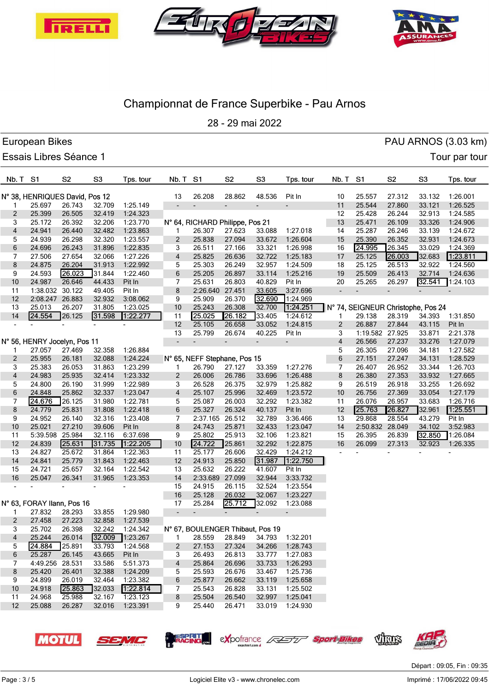





28 - 29 mai 2022

|                | European Bikes                 |                          |                |                   |                          |                                  |                          |                          |                 |                          |                                    |                |                | PAU ARNOS (3.03 km) |
|----------------|--------------------------------|--------------------------|----------------|-------------------|--------------------------|----------------------------------|--------------------------|--------------------------|-----------------|--------------------------|------------------------------------|----------------|----------------|---------------------|
|                | <b>Essais Libres Séance 1</b>  |                          |                |                   |                          |                                  |                          |                          |                 |                          |                                    |                |                | Tour par tour       |
| Nb. T S1       |                                | S <sub>2</sub>           | S <sub>3</sub> | Tps. tour         | Nb. T                    | S1                               | S <sub>2</sub>           | S <sub>3</sub>           | Tps. tour       | Nb. T                    | S1                                 | S <sub>2</sub> | S <sub>3</sub> | Tps. tour           |
|                | N° 38, HENRIQUES David, Pos 12 |                          |                |                   | 13                       | 26.208                           | 28.862                   | 48.536                   | Pit In          | 10                       | 25.557                             | 27.312         | 33.132         | 1:26.001            |
| 1              | 25.697                         | 26.743                   | 32.709         | 1:25.149          | $\overline{\phantom{a}}$ | $\overline{\phantom{a}}$         | $\overline{\phantom{0}}$ | $\overline{\phantom{a}}$ | $\overline{a}$  | 11                       | 25.544                             | 27.860         | 33.121         | 1:26.525            |
| 2              | 25.399                         | 26.505                   | 32.419         | 1:24.323          |                          |                                  |                          |                          |                 | 12                       | 25.428                             | 26.244         | 32.913         | 1:24.585            |
| 3              | 25.172                         | 26.392                   | 32.206         | 1:23.770          |                          | N° 64, RICHARD Philippe, Pos 21  |                          |                          |                 | 13                       | 25.471                             | 26.109         | 33.326         | 1:24.906            |
| 4              | 24.941                         | 26.440                   | 32.482         | 1:23.863          | 1                        | 26.307                           | 27.623                   | 33.088                   | 1:27.018        | 14                       | 25.287                             | 26.246         | 33.139         | 1:24.672            |
| 5              | 24.939                         | 26.298                   | 32.320         | 1:23.557          | $\overline{2}$           | 25.838                           | 27.094                   | 33.672                   | 1:26.604        | 15                       | 25.390                             | 26.352         | 32.931         | 1:24.673            |
| 6              | 24.696                         | 26.243                   | 31.896         | 1:22.835          | 3                        | 26.511                           | 27.166                   | 33.321                   | 1:26.998        | 16                       | 24.995                             | 26.345         | 33.029         | 1:24.369            |
| 7              | 27.506                         | 27.654                   | 32.066         | 1:27.226          | 4                        | 25.825                           | 26.636                   | 32.722                   | 1:25.183        | 17                       | 25.125                             | 26.003         | 32.683         | 1:23.811            |
| 8              | 24.875                         | 26.204                   | 31.913         | 1:22.992          | 5                        | 25.303                           | 26.249                   | 32.957                   | 1:24.509        | 18                       | 25.125                             | 26.513         | 32.922         | 1:24.560            |
| 9              | 24.593                         | 26.023                   | 31.844         | 1:22.460          | 6                        | 25.205                           | 26.897                   | 33.114                   | 1:25.216        | 19                       | 25.509                             | 26.413         | 32.714         | 1:24.636            |
| 10             | 24.987                         | 26.646                   | 44.433         | Pit In            | 7                        | 25.631                           | 26.803                   | 40.829                   | Pit In          | 20                       | 25.265                             | 26.297         | 32.541         | 1:24.103            |
| 11             | 1:38.032 30.122                |                          | 49.405         | Pit In            | 8                        | 2:26.640 27.451                  |                          | 33.605                   | 3:27.696        | $\overline{\phantom{a}}$ | $\overline{a}$                     |                |                |                     |
| 12             | 2:08.247 26.883                |                          | 32.932         | 3:08.062          | 9                        | 25.909                           | 26.370                   | 32.690                   | 1:24.969        |                          |                                    |                |                |                     |
| 13             | 25.013                         | 26.207                   | 31.805         | 1:23.025          | 10                       | 25.243                           | 26.308                   | 32.700                   | 1.24.251        |                          | N° 74, SEIGNEUR Christophe, Pos 24 |                |                |                     |
| 14             | 24.554                         | 26.125                   | 31.598         | 1:22.277          | 11                       | 25.025                           | 26.182                   | 33.405                   | 1:24.612        | 1                        | 29.138                             | 28.319         | 34.393         | 1:31.850            |
|                |                                | $\overline{\phantom{a}}$ |                |                   | 12                       | 25.105                           | 26.658                   | 33.052                   | 1:24.815        | $\overline{2}$           | 26.887                             | 27.844         | 43.115         | Pit In              |
|                |                                |                          |                |                   | 13                       | 25.799                           | 26.674                   | 40.225                   | Pit In          | 3                        | 1:19.582 27.925                    |                | 33.871         | 2:21.378            |
|                | N° 56, HENRY Jocelyn, Pos 11   |                          |                |                   | $\overline{\phantom{a}}$ |                                  | $\overline{\phantom{a}}$ | $\overline{\phantom{a}}$ |                 | 4                        | 26.566                             | 27.237         | 33.276         | 1:27.079            |
| 1              | 27.057                         | 27.469                   | 32.358         | 1:26.884          |                          |                                  |                          |                          |                 | 5                        | 26.305                             | 27.096         | 34.181         | 1:27.582            |
| $\overline{2}$ | 25.955                         | 26.181                   | 32.088         | 1:24.224          |                          | N° 65, NEFF Stephane, Pos 15     |                          |                          |                 | 6                        | 27.151                             | 27.247         | 34.131         | 1:28.529            |
| 3              | 25.383                         | 26.053                   | 31.863         | 1:23.299          | 1                        | 26.790                           | 27.127                   | 33.359                   | 1:27.276        | 7                        | 26.407                             | 26.952         | 33.344         | 1:26.703            |
| 4              | 24.983                         | 25.935                   | 32.414         | 1:23.332          | 2                        | 26.006                           | 26.786                   | 33.696                   | 1:26.488        | 8                        | 26.380                             | 27.353         | 33.932         | 1:27.665            |
| 5              | 24.800                         | 26.190                   | 31.999         | 1:22.989          | 3                        | 26.528                           | 26.375                   | 32.979                   | 1:25.882        | 9                        | 26.519                             | 26.918         | 33.255         | 1:26.692            |
| 6              | 24.848                         | 25.862                   | 32.337         | 1:23.047          | $\overline{4}$           | 25.107                           | 25.996                   | 32.469                   | 1:23.572        | $10$                     | 26.756                             | 27.369         | 33.054         | 1:27.179            |
| 7              | 24.676                         | 26.125                   | 31.980         | 1:22.781          | 5                        | 25.087                           | 26.003                   | 32.292                   | 1:23.382        | 11                       | 26.076                             | 26.957         | 33.683         | 1:26.716            |
| 8              | 24.779                         | 25.831                   | 31.808         | 1:22.418          | 6                        | 25.327                           | 26.324                   | 40.137                   | Pit In          | 12                       | 25.763                             | 26.827         | 32.961         | 1:25.551            |
| 9              | 24.952                         | 26.140                   | 32.316         | 1:23.408          | 7                        | 2:37.165 26.512                  |                          | 32.789                   | 3:36.466        | 13                       | 29.868                             | 28.554         | 43.279         | Pit In              |
| 10             | 25.021                         | 27.210                   | 39.606         | Pit In            | 8                        | 24.743                           | 25.871                   | 32.433                   | 1:23.047        | 14                       | 2:50.832 28.049                    |                | 34.102         | 3:52.983            |
| 11             | 5:39.598 25.984                |                          | 32.116         | 6:37.698          | 9                        | 25.802                           | 25.913                   | 32.106                   | 1:23.821        | 15                       | 26.395                             | 26.839         | 32.850         | 1:26.084            |
| 12             | 24.839                         | 25.631                   | 31.735         | 1:22.205          | $10$                     | 24.722                           | 25.861                   | 32.292                   | 1:22.875        | 16                       | 26.099                             | 27.313         | 32.923         | 1:26.335            |
| 13             | 24.827                         | 25.672                   | 31.864         | 1:22.363          | 11                       | 25.177                           | 26.606                   | 32.429                   | 1:24.212        |                          |                                    |                |                |                     |
| 14             | 24.841                         | 25.779                   | 31.843         | 1:22.463          | 12                       | 24.913                           | 25.850                   | 31.987                   | 1:22.750        |                          |                                    |                |                |                     |
| 15             | 24.721                         | 25.657                   | 32.164         | 1:22.542          | 13                       | 25.632                           | 26.222                   | 41.607                   | Pit In          |                          |                                    |                |                |                     |
| 16             | 25.047                         | 26.341                   | 31.965         | 1:23.353          | 14                       | 2:33.689 27.099                  |                          | 32.944                   | 3:33.732        |                          |                                    |                |                |                     |
|                |                                |                          |                |                   | 15                       | 24.915                           | 26.115                   | 32.524                   | 1:23.554        |                          |                                    |                |                |                     |
|                |                                |                          |                |                   | 16                       | 25.128                           | 26.032                   | 32.067                   | 1:23.227        |                          |                                    |                |                |                     |
|                | N° 63, FORAY Ilann, Pos 16     |                          |                |                   | 17                       | 25.284                           | 25.712                   | 32.092                   | 1:23.088        |                          |                                    |                |                |                     |
| $\mathbf{1}$   | 27.832                         | 28.293                   | 33.855         | 1:29.980          |                          |                                  | $\blacksquare$           | $\blacksquare$           |                 |                          |                                    |                |                |                     |
| $\overline{2}$ | 27.458                         | 27.223                   | 32.858         | 1:27.539          |                          |                                  |                          |                          |                 |                          |                                    |                |                |                     |
| 3              | 25.702                         | 26.398                   | 32.242         | 1:24.342          |                          | N° 67, BOULENGER Thibaut, Pos 19 |                          |                          |                 |                          |                                    |                |                |                     |
| $\overline{4}$ | 25.244                         | 26.014                   |                | $32.009$ 1:23.267 | 1                        | 28.559                           | 28.849                   |                          | 34.793 1:32.201 |                          |                                    |                |                |                     |
| 5              | 24.884                         | 25.891                   | 33.793         | 1:24.568          | $\mathbf{2}$             | 27.153                           | 27.324                   | 34.266                   | 1:28.743        |                          |                                    |                |                |                     |
| 6              | 25.287                         | 26.145                   | 43.665         | Pit In            | 3                        | 26.493                           | 26.813                   |                          | 33.777 1:27.083 |                          |                                    |                |                |                     |
| 7              | 4:49.256 28.531                |                          | 33.586         | 5:51.373          | 4                        | 25.864                           | 26.696                   | 33.733                   | 1:26.293        |                          |                                    |                |                |                     |
| 8              | 25.420                         | 26.401                   | 32.388         | 1:24.209          | 5                        | 25.593                           | 26.676                   | 33.467                   | 1:25.736        |                          |                                    |                |                |                     |
| 9              | 24.899                         | 26.019                   | 32.464         | 1:23.382          | 6                        | 25.877                           | 26.662                   | 33.119                   | 1:25.658        |                          |                                    |                |                |                     |
| 10             | 24.918                         | 25.863                   | 32.033         | 1:22.814          | 7                        | 25.543                           | 26.828                   | 33.131                   | 1:25.502        |                          |                                    |                |                |                     |
| 11             | 24.968                         | 25.988                   | 32.167         | 1:23.123          | 8                        | 25.504                           | 26.540                   | 32.997                   | 1:25.041        |                          |                                    |                |                |                     |
| 12             | 25.088                         | 26.287                   | 32.016         | 1:23.391          | 9                        | 25.440                           | 26.471                   | 33.019                   | 1:24.930        |                          |                                    |                |                |                     |
|                |                                |                          |                |                   |                          |                                  |                          |                          |                 |                          |                                    |                |                |                     |







exportance 2350

<sup>-</sup> Sport Bikes



Thus

Logiciel Elite v3 - www.chronelec.com Imprime : 17/06/2022 09:45 Départ : 09:05, Fin : 09:35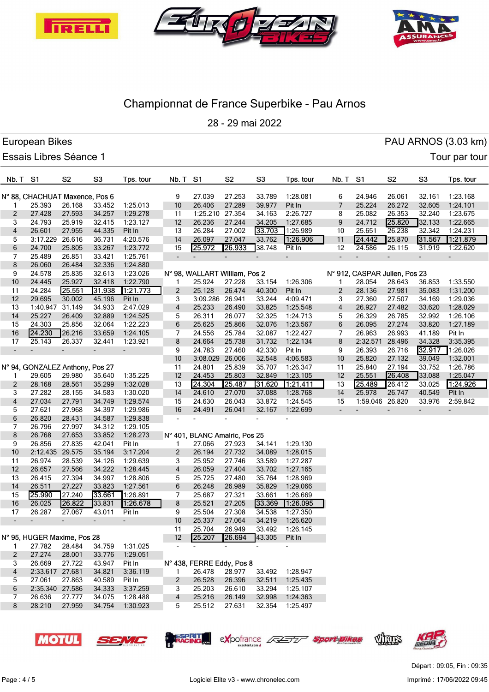





28 - 29 mai 2022

|                          | European Bikes                  |                          |                          |                          |                 |                               |                          |                |                 |                          |                               |                |                          | PAU ARNOS (3.03 km) |
|--------------------------|---------------------------------|--------------------------|--------------------------|--------------------------|-----------------|-------------------------------|--------------------------|----------------|-----------------|--------------------------|-------------------------------|----------------|--------------------------|---------------------|
|                          | Essais Libres Séance 1          |                          |                          |                          |                 |                               |                          |                |                 |                          |                               |                |                          | Tour par tour       |
| Nb. T S1                 |                                 | S <sub>2</sub>           | S <sub>3</sub>           | Tps. tour                | Nb. T           | S1                            | S <sub>2</sub>           | S <sub>3</sub> | Tps. tour       | Nb. T                    | S <sub>1</sub>                | S <sub>2</sub> | S <sub>3</sub>           | Tps. tour           |
|                          | N° 88, CHACHUAT Maxence, Pos 6  |                          |                          |                          | 9               | 27.039                        | 27.253                   | 33.789         | 1:28.081        | 6                        | 24.946                        | 26.061         | 32.161                   | 1:23.168            |
| 1                        | 25.393                          | 26.168                   | 33.452                   | 1:25.013                 | 10              | 26.406                        | 27.289                   | 39.977         | Pit In          | 7                        | 25.224                        | 26.272         | 32.605                   | 1:24.101            |
| 2                        | 27.428                          | 27.593                   | 34.257                   | 1:29.278                 | 11              | 1:25.210 27.354               |                          | 34.163         | 2:26.727        | 8                        | 25.082                        | 26.353         | 32.240                   | 1:23.675            |
| 3                        | 24.793                          | 25.919                   | 32.415                   | 1:23.127                 | 12              | 26.236                        | 27.244                   | 34.205         | 1:27.685        | 9                        | 24.712                        | 25.820         | 32.133                   | 1:22.665            |
| 4                        | 26.601                          | 27.955                   | 44.335                   | Pit In                   | 13              | 26.284                        | 27.002                   | 33.703         | 1:26.989        | 10                       | 25.651                        | 26.238         | 32.342                   | 1:24.231            |
| 5                        | 3:17.229 26.616                 |                          | 36.731                   | 4:20.576                 | 14              | 26.097                        | 27.047                   | 33.762         | 1:26.906        | 11                       | 24.442                        | 25.870         | 31.567                   | 1.21.879            |
| 6                        | 24.700                          | 25.805                   | 33.267                   | 1:23.772                 | 15              | 25.972                        | 26.933                   | 38.748         | Pit In          | 12                       | 24.586                        | 26.115         | 31.919                   | 1:22.620            |
| 7                        | 25.489                          | 26.851                   | 33.421                   | 1:25.761                 | $\blacksquare$  |                               | $\overline{\phantom{a}}$ |                |                 | $\overline{\phantom{a}}$ | $\overline{\phantom{a}}$      |                | $\overline{a}$           |                     |
| 8                        | 26.060                          | 26.484                   | 32.336                   | 1:24.880                 |                 |                               |                          |                |                 |                          |                               |                |                          |                     |
| 9                        | 24.578                          | 25.835                   | 32.613                   | 1:23.026                 |                 | N° 98, WALLART William, Pos 2 |                          |                |                 |                          | N° 912, CASPAR Julien, Pos 23 |                |                          |                     |
| 10                       | 24.445                          | 25.927                   | 32.418                   | 1:22.790                 | 1               | 25.924                        | 27.228                   | 33.154         | 1:26.306        | 1                        | 28.054                        | 28.643         | 36.853                   | 1:33.550            |
| 11                       | 24.284                          | 25.551                   | 31.938                   | 1.21.773                 | $\overline{c}$  | 25.128                        | 26.474                   | 40.300         | Pit In          | $\overline{\mathbf{c}}$  | 28.136                        | 27.981         | 35.083                   | 1:31.200            |
| 12                       | 29.695                          | 30.002                   | 45.196                   | Pit In                   | 3               | 3:09.286 26.941               |                          | 33.244         | 4:09.471        | 3                        | 27.360                        | 27.507         | 34.169                   | 1:29.036            |
| 13                       | 1:40.947 31.149                 |                          | 34.933                   | 2:47.029                 | 4               | 25.233                        | 26.490                   | 33.825         | 1:25.548        | 4                        | 26.927                        | 27.482         | 33.620                   | 1:28.029            |
| 14                       | 25.227                          | 26.409                   | 32.889                   | 1:24.525                 | 5               | 26.311                        | 26.077                   | 32.325         | 1:24.713        | 5                        | 26.329                        | 26.785         | 32.992                   | 1:26.106            |
| 15                       | 24.303                          | 25.856                   | 32.064                   | 1:22.223                 | 6               | 25.625                        | 25.866                   | 32.076         | 1:23.567        | 6                        | 26.095                        | 27.274         | 33.820                   | 1:27.189            |
| $16$                     | 24.230                          | 26.216                   | 33.659                   | 1:24.105                 | 7               | 24.556                        | 25.784                   | 32.087         | 1:22.427        | 7                        | 26.963                        | 26.993         | 41.189                   | Pit In              |
| 17                       | 25.143                          | 26.337                   | 32.441                   | 1:23.921                 | 8               | 24.664                        | 25.738                   | 31.732         | 1:22.134        | 8                        | 2:32.571                      | 28.496         | 34.328                   | 3:35.395            |
| $\overline{\phantom{a}}$ |                                 | $\overline{\phantom{a}}$ | $\overline{\phantom{a}}$ | $\blacksquare$           | 9               | 24.783                        | 27.460                   | 42.330         | Pit In          | 9                        | 26.393                        | 26.716         | 32.917                   | 1:26.026            |
|                          |                                 |                          |                          |                          | 10              | 3:08.029 26.006               |                          | 32.548         | 4:06.583        | 10                       | 25.820                        | 27.132         | 39.049                   | 1:32.001            |
|                          | N° 94, GONZALEZ Anthony, Pos 27 |                          |                          |                          | 11              | 24.801                        | 25.839                   | 35.707         | 1:26.347        | 11                       | 25.840                        | 27.194         | 33.752                   | 1:26.786            |
| 1                        | 29.605                          | 29.980                   | 35.640                   | 1:35.225                 | 12              | 24.453                        | 25.803                   | 32.849         | 1:23.105        | 12                       | 25.551                        | 26.408         | 33.088                   | 1:25.047            |
| $\overline{c}$           | 28.168                          | 28.561                   | 35.299                   | 1:32.028                 | 13              | 24.304                        | 25.487                   | 31.620         | 1.21.411        | 13                       | 25.489                        | 26.412         | 33.025                   | 1.24.926            |
| 3                        | 27.282                          | 28.155                   | 34.583                   | 1:30.020                 | 14              | 24.610                        | 27.070                   | 37.088         | 1:28.768        | 14                       | 25.978                        | 26.747         | 40.549                   | Pit In              |
| 4                        | 27.034                          | 27.791                   | 34.749                   | 1:29.574                 | 15              | 24.630                        | 26.043                   | 33.872         | 1:24.545        | 15                       | 1:59.046 26.820               |                | 33.976                   | 2:59.842            |
| 5                        | 27.621                          | 27.968                   | 34.397                   | 1:29.986                 | 16              | 24.491                        | 26.041                   | 32.167         | 1:22.699        | $\overline{\phantom{a}}$ |                               |                | $\overline{\phantom{0}}$ |                     |
| 6                        | 26.820                          | 28.431                   | 34.587                   | 1:29.838                 |                 |                               | ÷,                       |                |                 |                          |                               |                |                          |                     |
| 7                        | 26.796                          | 27.997                   | 34.312                   | 1:29.105                 |                 |                               |                          |                |                 |                          |                               |                |                          |                     |
| 8                        | 26.768                          | 27.653                   | 33.852                   | 1:28.273                 |                 | N° 401, BLANC Amalric, Pos 25 |                          |                |                 |                          |                               |                |                          |                     |
| 9                        | 26.856                          | 27.835                   | 42.041                   | Pit In                   | 1               | 27.066                        | 27.923                   | 34.141         | 1:29.130        |                          |                               |                |                          |                     |
| 10                       | 2:12.435                        | 29.575                   | 35.194                   | 3:17.204                 | $\overline{c}$  | 26.194                        | 27.732                   | 34.089         | 1:28.015        |                          |                               |                |                          |                     |
| 11                       | 26.974                          | 28.539                   | 34.126                   | 1:29.639                 | 3               | 25.952                        | 27.746                   | 33.589         | 1:27.287        |                          |                               |                |                          |                     |
| 12                       | 26.657                          | 27.566                   | 34.222                   | 1:28.445                 | 4               | 26.059                        | 27.404                   | 33.702         | 1:27.165        |                          |                               |                |                          |                     |
| 13                       | 26.415                          | 27.394                   | 34.997                   | 1:28.806                 | 5               | 25.725                        | 27.480                   | 35.764         | 1:28.969        |                          |                               |                |                          |                     |
| 14                       | 26.511                          | 27.227                   | 33.823                   | 1:27.561                 | 6               | 26.248                        | 26.989                   | 35.829         | 1:29.066        |                          |                               |                |                          |                     |
| 15                       | 25.990                          | 27.240                   | 33.661                   | 1:26.891                 | 7               | 25.687                        | 27.321                   | 33.661         | 1:26.669        |                          |                               |                |                          |                     |
| 16                       | 26.025                          | 26.822                   | 33.831                   | 1:26.678                 | 8               | 25.521                        | 27.205                   | 33.369         | 1:26.095        |                          |                               |                |                          |                     |
| 17                       | 26.287                          | 27.067                   | 43.011                   | Pit In                   | 9               | 25.504                        | 27.308                   | 34.538         | 1:27.350        |                          |                               |                |                          |                     |
|                          |                                 | $\overline{\phantom{a}}$ | $\blacksquare$           | $\overline{\phantom{a}}$ | 10              | 25.337                        | 27.064                   |                | 34.219 1:26.620 |                          |                               |                |                          |                     |
|                          |                                 |                          |                          |                          | 11              | 25.704                        | 26.949                   | 33.492         | 1:26.145        |                          |                               |                |                          |                     |
|                          | N° 95, HUGER Maxime, Pos 28     |                          |                          |                          | 12 <sup>2</sup> | 25.207                        | 26.694                   | 43.305         | Pit In          |                          |                               |                |                          |                     |
| 1.                       | 27.782                          | 28.484                   |                          | 34.759 1:31.025          |                 |                               |                          |                |                 |                          |                               |                |                          |                     |
| $\overline{2}$           | 27.274                          | 28.001                   | 33.776                   | 1:29.051                 |                 |                               |                          |                |                 |                          |                               |                |                          |                     |
| 3                        | 26.669                          | 27.722                   | 43.947                   | Pit In                   |                 | N° 438, FERRE Eddy, Pos 8     |                          |                |                 |                          |                               |                |                          |                     |
| $\overline{4}$           | 2:33.617 27.681                 |                          | 34.821                   | 3:36.119                 | 1.              | 26.478                        | 28.977                   | 33.492         | 1:28.947        |                          |                               |                |                          |                     |
| 5                        | 27.061                          | 27.863                   | 40.589                   | Pit In                   | $\overline{2}$  | 26.528                        | 26.396                   | 32.511         | 1:25.435        |                          |                               |                |                          |                     |
| 6                        | 2:35.340 27.586                 |                          | 34.333                   | 3:37.259                 | 3               | 25.203                        | 26.610                   | 33.294         | 1:25.107        |                          |                               |                |                          |                     |
| 7                        | 26.636                          | 27.777                   | 34.075                   | 1:28.488                 | 4               | 25.216                        | 26.149                   | 32.998         | 1:24.363        |                          |                               |                |                          |                     |
| 8                        | 28.210                          | 27.959                   |                          | 34.754 1:30.923          | 5               | 25.512                        | 27.631                   |                | 32.354 1:25.497 |                          |                               |                |                          |                     |
|                          |                                 |                          |                          |                          |                 |                               |                          |                |                 |                          |                               |                |                          |                     |

**MOTUL** 

exportance 4

**RESPRIT** 

SEMC

VINS

<sup>-</sup> Sport Bikes